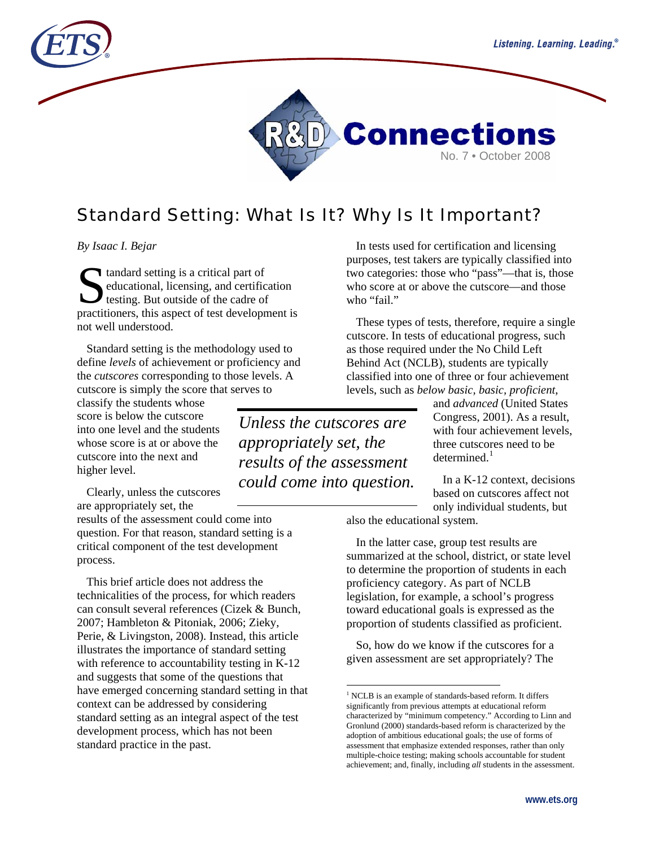



# Standard Setting: What Is It? Why Is It Important?

*By Isaac I. Bejar* 

tandard setting is a critical part of educational, licensing, and certification testing. But outside of the cadre of **C** tandard setting is a critical part of<br>educational, licensing, and certification<br>testing. But outside of the cadre of<br>practitioners, this aspect of test development is not well understood.

Standard setting is the methodology used to define *levels* of achievement or proficiency and the *cutscores* corresponding to those levels. A cutscore is simply the score that serves to

classify the students whose score is below the cutscore into one level and the students whose score is at or above the cutscore into the next and higher level.

Clearly, unless the cutscores are appropriately set, the

results of the assessment could come into question. For that reason, standard setting is a critical component of the test development process.

<span id="page-0-0"></span>This brief article does not address the technicalities of the process, for which readers can consult several references (Cizek & Bunch, 2007; Hambleton & Pitoniak, 2006; Zieky, Perie, & Livingston, 2008). Instead, this article illustrates the importance of standard setting with reference to accountability testing in K-12 and suggests that some of the questions that have emerged concerning standard setting in that context can be addressed by considering standard setting as an integral aspect of the test development process, which has not been standard practice in the past.

In tests used for certification and licensing purposes, test takers are typically classified into two categories: those who "pass"—that is, those who score at or above the cutscore—and those who "fail."

These types of tests, therefore, require a single cutscore. In tests of educational progress, such as those required under the No Child Left Behind Act (NCLB), students are typically classified into one of three or four achievement levels, such as *below basic, basic, proficient*,

> and *advanced* (United States Congress, 2001). As a result, with four achievement levels, three cutscores need to be  $d$ etermined.<sup>[1](#page-0-0)</sup>

In a K-12 context, decisions based on cutscores affect not only individual students, but

also the educational system.

In the latter case, group test results are summarized at the school, district, or state level to determine the proportion of students in each proficiency category. As part of NCLB legislation, for example, a school's progress toward educational goals is expressed as the proportion of students classified as proficient.

So, how do we know if the cutscores for a given assessment are set appropriately? The

*Unless the cutscores are appropriately set, the results of the assessment could come into question.* 

 $\overline{a}$ 

<sup>&</sup>lt;sup>1</sup> NCLB is an example of standards-based reform. It differs significantly from previous attempts at educational reform characterized by "minimum competency." According to Linn and Gronlund (2000) standards-based reform is characterized by the adoption of ambitious educational goals; the use of forms of assessment that emphasize extended responses, rather than only multiple-choice testing; making schools accountable for student achievement; and, finally, including *all* students in the assessment.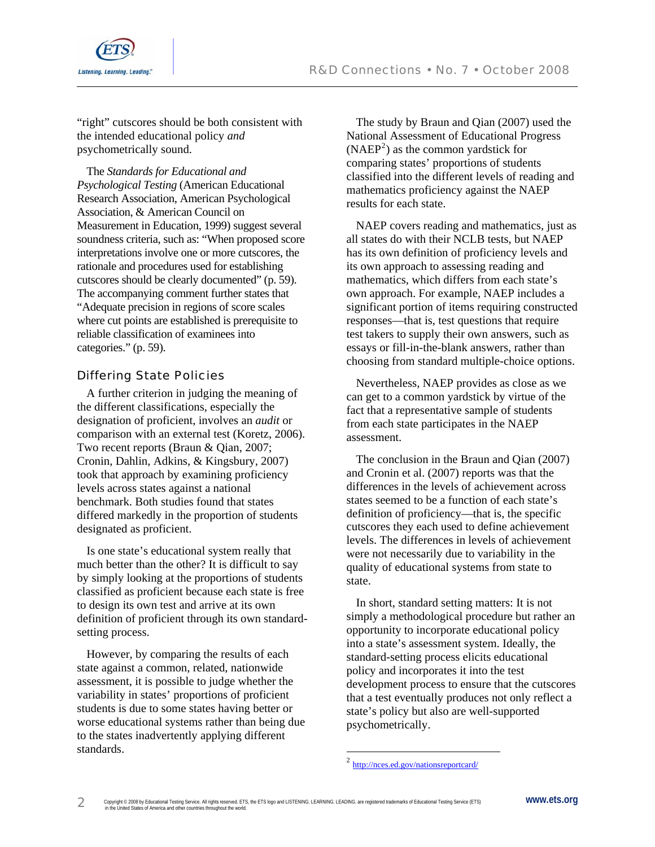

"right" cutscores should be both consistent with the intended educational policy *and* psychometrically sound.

The *Standards for Educational and Psychological Testing* (American Educational Research Association, American Psychological Association, & American Council on Measurement in Education, 1999) suggest several soundness criteria, such as: "When proposed score interpretations involve one or more cutscores, the rationale and procedures used for establishing cutscores should be clearly documented" (p. 59). The accompanying comment further states that "Adequate precision in regions of score scales where cut points are established is prerequisite to reliable classification of examinees into categories." (p. 59).

## Differing State Policies

A further criterion in judging the meaning of the different classifications, especially the designation of proficient, involves an *audit* or comparison with an external test (Koretz, 2006). Two recent reports (Braun & Qian, 2007; Cronin, Dahlin, Adkins, & Kingsbury, 2007) took that approach by examining proficiency levels across states against a national benchmark. Both studies found that states differed markedly in the proportion of students designated as proficient.

Is one state's educational system really that much better than the other? It is difficult to say by simply looking at the proportions of students classified as proficient because each state is free to design its own test and arrive at its own definition of proficient through its own standardsetting process.

<span id="page-1-0"></span>However, by comparing the results of each state against a common, related, nationwide assessment, it is possible to judge whether the variability in states' proportions of proficient students is due to some states having better or worse educational systems rather than being due to the states inadvertently applying different standards.

The study by Braun and Qian (2007) used the National Assessment of Educational Progress  $(NAEP<sup>2</sup>)$  $(NAEP<sup>2</sup>)$  $(NAEP<sup>2</sup>)$  as the common yardstick for comparing states' proportions of students classified into the different levels of reading and mathematics proficiency against the NAEP results for each state.

NAEP covers reading and mathematics, just as all states do with their NCLB tests, but NAEP has its own definition of proficiency levels and its own approach to assessing reading and mathematics, which differs from each state's own approach. For example, NAEP includes a significant portion of items requiring constructed responses—that is, test questions that require test takers to supply their own answers, such as essays or fill-in-the-blank answers, rather than choosing from standard multiple-choice options.

Nevertheless, NAEP provides as close as we can get to a common yardstick by virtue of the fact that a representative sample of students from each state participates in the NAEP assessment.

The conclusion in the Braun and Qian (2007) and Cronin et al. (2007) reports was that the differences in the levels of achievement across states seemed to be a function of each state's definition of proficiency—that is, the specific cutscores they each used to define achievement levels. The differences in levels of achievement were not necessarily due to variability in the quality of educational systems from state to state.

In short, standard setting matters: It is not simply a methodological procedure but rather an opportunity to incorporate educational policy into a state's assessment system. Ideally, the standard-setting process elicits educational policy and incorporates it into the test development process to ensure that the cutscores that a test eventually produces not only reflect a state's policy but also are well-supported psychometrically.

 $\overline{a}$ 

<sup>&</sup>lt;sup>2</sup> <http://nces.ed.gov/nationsreportcard/>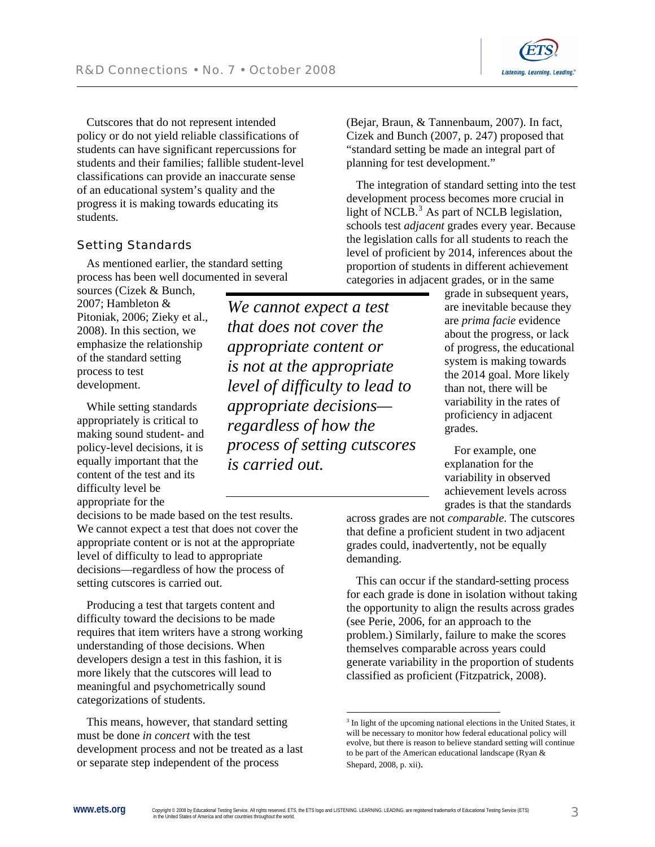Cutscores that do not represent intended policy or do not yield reliable classifications of students can have significant repercussions for students and their families; fallible student-level classifications can provide an inaccurate sense of an educational system's quality and the progress it is making towards educating its students.

### Setting Standards

As mentioned earlier, the standard setting process has been well documented in several

sources (Cizek & Bunch, 2007; Hambleton & Pitoniak, 2006; Zieky et al., 2008). In this section, we emphasize the relationship of the standard setting process to test development.

While setting standards appropriately is critical to making sound student- and policy-level decisions, it is equally important that the content of the test and its difficulty level be appropriate for the

decisions to be made based on the test results. We cannot expect a test that does not cover the appropriate content or is not at the appropriate level of difficulty to lead to appropriate decisions—regardless of how the process of setting cutscores is carried out.

Producing a test that targets content and difficulty toward the decisions to be made requires that item writers have a strong working understanding of those decisions. When developers design a test in this fashion, it is more likely that the cutscores will lead to meaningful and psychometrically sound categorizations of students.

<span id="page-2-0"></span>This means, however, that standard setting must be done *in concert* with the test development process and not be treated as a last or separate step independent of the process

*We cannot expect a test that does not cover the appropriate content or is not at the appropriate level of difficulty to lead to appropriate decisions regardless of how the process of setting cutscores is carried out.* 

(Bejar, Braun, & Tannenbaum, 2007). In fact, Cizek and Bunch (2007, p. 247) proposed that "standard setting be made an integral part of planning for test development."

The integration of standard setting into the test development process becomes more crucial in light of NCLB. $<sup>3</sup>$  $<sup>3</sup>$  $<sup>3</sup>$  As part of NCLB legislation,</sup> schools test *adjacent* grades every year. Because the legislation calls for all students to reach the level of proficient by 2014, inferences about the proportion of students in different achievement categories in adjacent grades, or in the same

> grade in subsequent years, are inevitable because they are *prima facie* evidence about the progress, or lack of progress, the educational system is making towards the 2014 goal. More likely than not, there will be variability in the rates of proficiency in adjacent grades.

Listening. Learning. Leading.

For example, one explanation for the variability in observed achievement levels across grades is that the standards

across grades are not *comparable*. The cutscores that define a proficient student in two adjacent grades could, inadvertently, not be equally demanding.

This can occur if the standard-setting process for each grade is done in isolation without taking the opportunity to align the results across grades (see Perie, 2006, for an approach to the problem.) Similarly, failure to make the scores themselves comparable across years could generate variability in the proportion of students classified as proficient (Fitzpatrick, 2008).

 $\overline{a}$ 

<sup>&</sup>lt;sup>3</sup> In light of the upcoming national elections in the United States, it will be necessary to monitor how federal educational policy will evolve, but there is reason to believe standard setting will continue to be part of the American educational landscape (Ryan & Shepard, 2008, p. xii).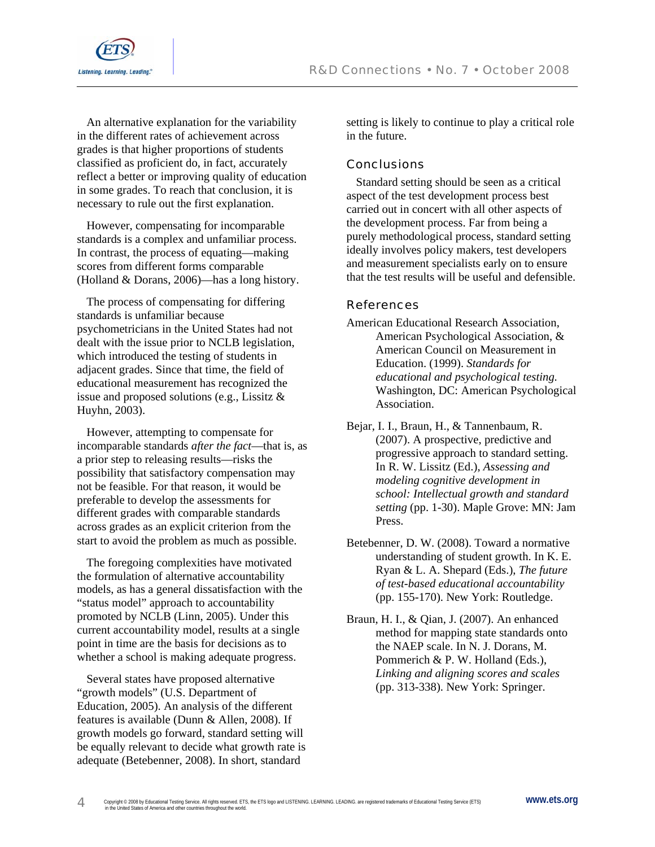



An alternative explanation for the variability in the different rates of achievement across grades is that higher proportions of students classified as proficient do, in fact, accurately reflect a better or improving quality of education in some grades. To reach that conclusion, it is necessary to rule out the first explanation.

However, compensating for incomparable standards is a complex and unfamiliar process. In contrast, the process of equating—making scores from different forms comparable (Holland & Dorans, 2006)—has a long history.

The process of compensating for differing standards is unfamiliar because psychometricians in the United States had not dealt with the issue prior to NCLB legislation, which introduced the testing of students in adjacent grades. Since that time, the field of educational measurement has recognized the issue and proposed solutions (e.g., Lissitz & Huyhn, 2003).

However, attempting to compensate for incomparable standards *after the fact*—that is, as a prior step to releasing results—risks the possibility that satisfactory compensation may not be feasible. For that reason, it would be preferable to develop the assessments for different grades with comparable standards across grades as an explicit criterion from the start to avoid the problem as much as possible.

The foregoing complexities have motivated the formulation of alternative accountability models, as has a general dissatisfaction with the "status model" approach to accountability promoted by NCLB (Linn, 2005). Under this current accountability model, results at a single point in time are the basis for decisions as to whether a school is making adequate progress.

Several states have proposed alternative "growth models" (U.S. Department of Education, 2005). An analysis of the different features is available (Dunn & Allen, 2008). If growth models go forward, standard setting will be equally relevant to decide what growth rate is adequate (Betebenner, 2008). In short, standard

setting is likely to continue to play a critical role in the future.

### **Conclusions**

Standard setting should be seen as a critical aspect of the test development process best carried out in concert with all other aspects of the development process. Far from being a purely methodological process, standard setting ideally involves policy makers, test developers and measurement specialists early on to ensure that the test results will be useful and defensible.

### **References**

American Educational Research Association, American Psychological Association, & American Council on Measurement in Education. (1999). *Standards for educational and psychological testing.* Washington, DC: American Psychological Association.

Bejar, I. I., Braun, H., & Tannenbaum, R. (2007). A prospective, predictive and progressive approach to standard setting. In R. W. Lissitz (Ed.), *Assessing and modeling cognitive development in school: Intellectual growth and standard setting* (pp. 1-30). Maple Grove: MN: Jam Press.

Betebenner, D. W. (2008). Toward a normative understanding of student growth. In K. E. Ryan & L. A. Shepard (Eds.), *The future of test-based educational accountability* (pp. 155-170). New York: Routledge.

Braun, H. I., & Qian, J. (2007). An enhanced method for mapping state standards onto the NAEP scale. In N. J. Dorans, M. Pommerich & P. W. Holland (Eds.), *Linking and aligning scores and scales* (pp. 313-338). New York: Springer.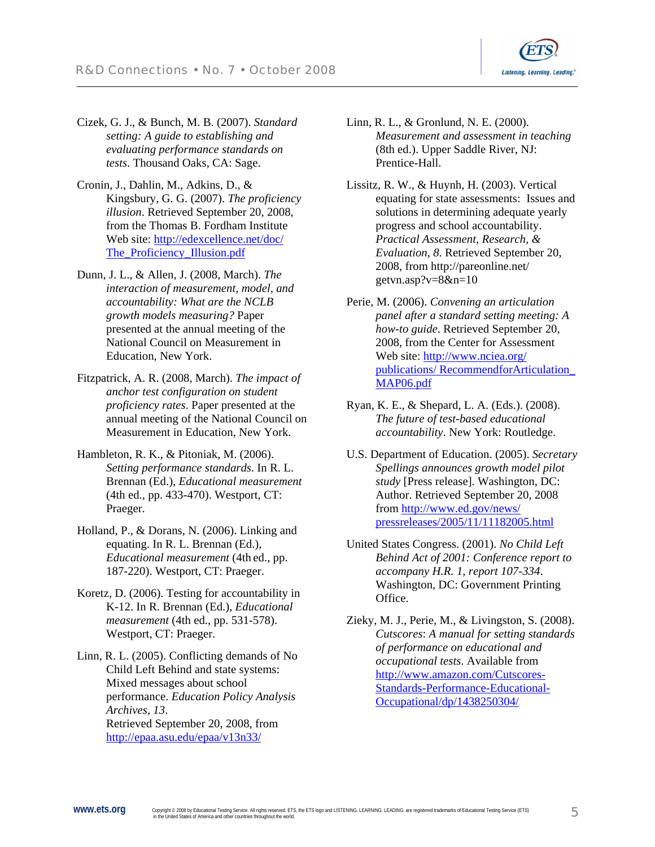

- Cizek, G. J., & Bunch, M. B. (2007). *Standard setting: A guide to establishing and evaluating performance standards on tests*. Thousand Oaks, CA: Sage.
- Cronin, J., Dahlin, M., Adkins, D., & Kingsbury, G. G. (2007). *The proficiency illusion*. Retrieved September 20, 2008, from the Thomas B. Fordham Institute Web site: [http://edexcellence.net/doc/](http://edexcellence.net/doc/The_Proficiency_Illusion.pdf) [The\\_Proficiency\\_Illusion.pdf](http://edexcellence.net/doc/The_Proficiency_Illusion.pdf)
- Dunn, J. L., & Allen, J. (2008, March). *The interaction of measurement, model, and accountability: What are the NCLB growth models measuring?* Paper presented at the annual meeting of the National Council on Measurement in Education, New York.
- Fitzpatrick, A. R. (2008, March). *The impact of anchor test configuration on student proficiency rates*. Paper presented at the annual meeting of the National Council on Measurement in Education, New York.
- Hambleton, R. K., & Pitoniak, M. (2006). *Setting performance standards*. In R. L. Brennan (Ed.), *Educational measurement* (4th ed., pp. 433-470). Westport, CT: Praeger.
- Holland, P., & Dorans, N. (2006). Linking and equating. In R. L. Brennan (Ed.), *Educational measurement* (4th ed., pp. 187-220). Westport, CT: Praeger.
- Koretz, D. (2006). Testing for accountability in K-12. In R. Brennan (Ed.), *Educational measurement* (4th ed., pp. 531-578). Westport, CT: Praeger.
- Linn, R. L. (2005). Conflicting demands of No Child Left Behind and state systems: Mixed messages about school performance. *Education Policy Analysis Archives, 13*. Retrieved September 20, 2008, from <http://epaa.asu.edu/epaa/v13n33/>
- Linn, R. L., & Gronlund, N. E. (2000). *Measurement and assessment in teaching* (8th ed.). Upper Saddle River, NJ: Prentice-Hall.
- Lissitz, R. W., & Huynh, H. (2003). Vertical equating for state assessments: Issues and solutions in determining adequate yearly progress and school accountability. *Practical Assessment, Research, & Evaluation*, *8*. Retrieved September 20, 2008, from http://pareonline.net/ getvn.asp?v=8&n=10
- Perie, M. (2006). *Convening an articulation panel after a standard setting meeting: A how-to guide*. Retrieved September 20, 2008, from the Center for Assessment Web site: [http://www.nciea.org/](http://www.nciea.org/%0Bpublications/%20RecommendforArticulation_%0BMAP06.pdf) [publications/ RecommendforArticulation\\_](http://www.nciea.org/%0Bpublications/%20RecommendforArticulation_%0BMAP06.pdf) [MAP06.pdf](http://www.nciea.org/%0Bpublications/%20RecommendforArticulation_%0BMAP06.pdf)
- Ryan, K. E., & Shepard, L. A. (Eds.). (2008). *The future of test-based educational accountability*. New York: Routledge.
- U.S. Department of Education. (2005). *Secretary Spellings announces growth model pilot study* [Press release]. Washington, DC: Author. Retrieved September 20, 2008 from [http://www.ed.gov/news/](http://www.ed.gov/news/%20pressreleases/2005/11/11182005.html)  [pressreleases/2005/11/11182005.html](http://www.ed.gov/news/%20pressreleases/2005/11/11182005.html)
- United States Congress. (2001). *No Child Left Behind Act of 2001: Conference report to accompany H.R. 1, report 107-334*. Washington, DC: Government Printing Office.
- Zieky, M. J., Perie, M., & Livingston, S. (2008). *Cutscores*: *A manual for setting standards of performance on educational and occupational tests*. Available from [http://www.amazon.com/Cutscores-](http://www.amazon.com/Cutscores-Standards-Performance-Educational-Occupational/dp/1438250304/)[Standards-Performance-Educational-](http://www.amazon.com/Cutscores-Standards-Performance-Educational-Occupational/dp/1438250304/)[Occupational/dp/1438250304/](http://www.amazon.com/Cutscores-Standards-Performance-Educational-Occupational/dp/1438250304/)